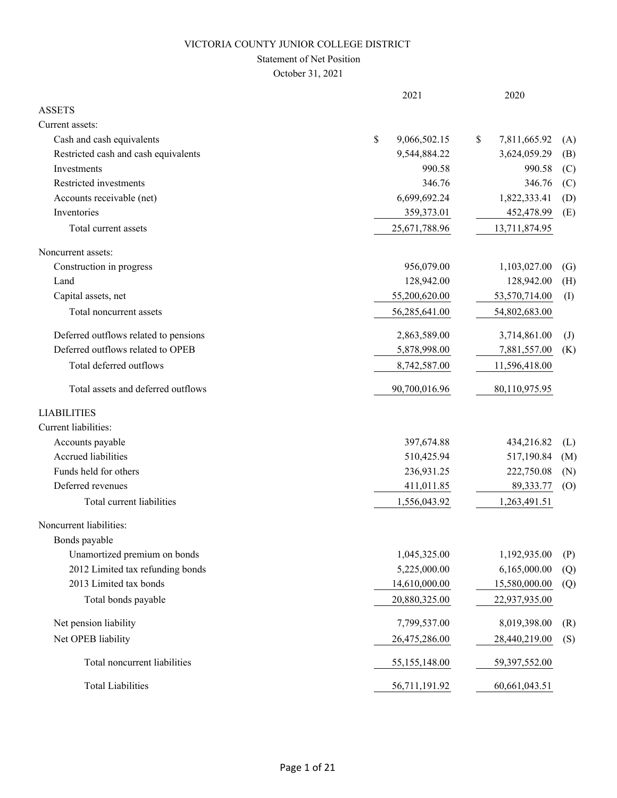# Statement of Net Position

October 31, 2021

|                                       | 2021               | 2020               |                   |
|---------------------------------------|--------------------|--------------------|-------------------|
| <b>ASSETS</b>                         |                    |                    |                   |
| Current assets:                       |                    |                    |                   |
| Cash and cash equivalents             | \$<br>9,066,502.15 | \$<br>7,811,665.92 | (A)               |
| Restricted cash and cash equivalents  | 9,544,884.22       | 3,624,059.29       | (B)               |
| Investments                           | 990.58             | 990.58             | (C)               |
| Restricted investments                | 346.76             | 346.76             | (C)               |
| Accounts receivable (net)             | 6,699,692.24       | 1,822,333.41       | (D)               |
| Inventories                           | 359,373.01         | 452,478.99         | (E)               |
| Total current assets                  | 25,671,788.96      | 13,711,874.95      |                   |
| Noncurrent assets:                    |                    |                    |                   |
| Construction in progress              | 956,079.00         | 1,103,027.00       | $\left( G\right)$ |
| Land                                  | 128,942.00         | 128,942.00         | (H)               |
| Capital assets, net                   | 55,200,620.00      | 53,570,714.00      | (I)               |
| Total noncurrent assets               | 56,285,641.00      | 54,802,683.00      |                   |
| Deferred outflows related to pensions | 2,863,589.00       | 3,714,861.00       | $\mathrm{J}$      |
| Deferred outflows related to OPEB     | 5,878,998.00       | 7,881,557.00       | (K)               |
| Total deferred outflows               | 8,742,587.00       | 11,596,418.00      |                   |
| Total assets and deferred outflows    | 90,700,016.96      | 80,110,975.95      |                   |
| <b>LIABILITIES</b>                    |                    |                    |                   |
| Current liabilities:                  |                    |                    |                   |
| Accounts payable                      | 397,674.88         | 434,216.82         | (L)               |
| Accrued liabilities                   | 510,425.94         | 517,190.84         | (M)               |
| Funds held for others                 | 236,931.25         | 222,750.08         | (N)               |
| Deferred revenues                     | 411,011.85         | 89,333.77          | (0)               |
| Total current liabilities             | 1,556,043.92       | 1,263,491.51       |                   |
| Noncurrent liabilities:               |                    |                    |                   |
| Bonds payable                         |                    |                    |                   |
| Unamortized premium on bonds          | 1,045,325.00       | 1,192,935.00       | (P)               |
| 2012 Limited tax refunding bonds      | 5,225,000.00       | 6,165,000.00       | (Q)               |
| 2013 Limited tax bonds                | 14,610,000.00      | 15,580,000.00      | (Q)               |
| Total bonds payable                   | 20,880,325.00      | 22,937,935.00      |                   |
| Net pension liability                 | 7,799,537.00       | 8,019,398.00       | (R)               |
| Net OPEB liability                    | 26,475,286.00      | 28,440,219.00      | (S)               |
| Total noncurrent liabilities          | 55,155,148.00      | 59,397,552.00      |                   |
| <b>Total Liabilities</b>              | 56,711,191.92      | 60,661,043.51      |                   |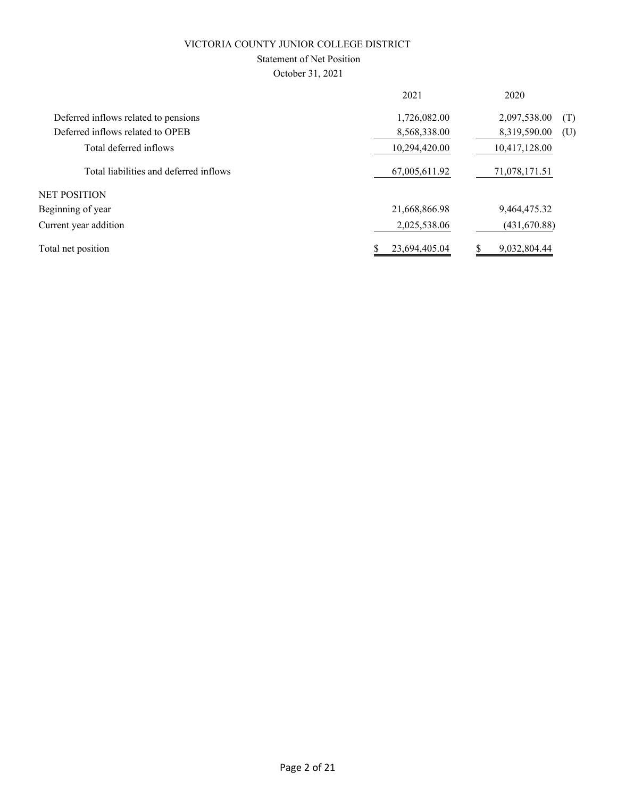# Statement of Net Position

October 31, 2021

|                                        | 2021          | 2020          |     |
|----------------------------------------|---------------|---------------|-----|
| Deferred inflows related to pensions   | 1,726,082.00  | 2,097,538.00  | (T) |
| Deferred inflows related to OPEB       | 8,568,338.00  | 8,319,590.00  | (U) |
| Total deferred inflows                 | 10,294,420.00 | 10,417,128.00 |     |
| Total liabilities and deferred inflows | 67,005,611.92 | 71,078,171.51 |     |
| NET POSITION                           |               |               |     |
| Beginning of year                      | 21,668,866.98 | 9,464,475.32  |     |
| Current year addition                  | 2,025,538.06  | (431, 670.88) |     |
| Total net position                     | 23,694,405.04 | 9,032,804.44  |     |
|                                        |               |               |     |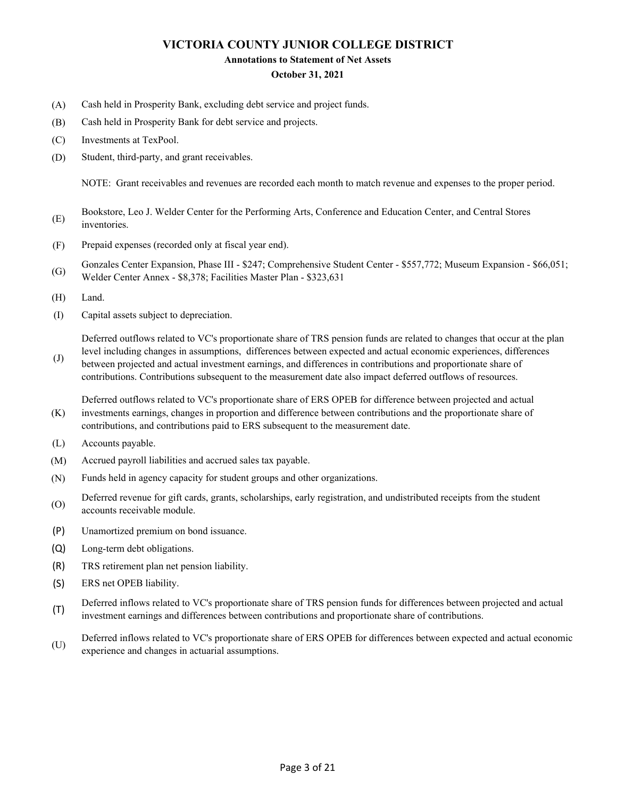### **Annotations to Statement of Net Assets**

#### **October 31, 2021**

- (A) Cash held in Prosperity Bank, excluding debt service and project funds.
- (B) Cash held in Prosperity Bank for debt service and projects.
- (C) Investments at TexPool.
- (D) Student, third-party, and grant receivables.

NOTE: Grant receivables and revenues are recorded each month to match revenue and expenses to the proper period.

- (E) Bookstore, Leo J. Welder Center for the Performing Arts, Conference and Education Center, and Central Stores inventories.
- (F) Prepaid expenses (recorded only at fiscal year end).
- (G) Gonzales Center Expansion, Phase III - \$247; Comprehensive Student Center - \$557,772; Museum Expansion - \$66,051; Welder Center Annex - \$8,378; Facilities Master Plan - \$323,631
- (H) Land.
- (I) Capital assets subject to depreciation.

Deferred outflows related to VC's proportionate share of TRS pension funds are related to changes that occur at the plan

(J) level including changes in assumptions, differences between expected and actual economic experiences, differences between projected and actual investment earnings, and differences in contributions and proportionate share of contributions. Contributions subsequent to the measurement date also impact deferred outflows of resources.

(K) Deferred outflows related to VC's proportionate share of ERS OPEB for difference between projected and actual investments earnings, changes in proportion and difference between contributions and the proportionate share of contributions, and contributions paid to ERS subsequent to the measurement date.

- (L) Accounts payable.
- (M) Accrued payroll liabilities and accrued sales tax payable.
- (N) Funds held in agency capacity for student groups and other organizations.
- (O) Deferred revenue for gift cards, grants, scholarships, early registration, and undistributed receipts from the student accounts receivable module.
- (P) Unamortized premium on bond issuance.
- (Q) Long-term debt obligations.
- (R) TRS retirement plan net pension liability.
- (S) ERS net OPEB liability.
- (T) Deferred inflows related to VC's proportionate share of TRS pension funds for differences between projected and actual investment earnings and differences between contributions and proportionate share of contributions.
- (U) Deferred inflows related to VC's proportionate share of ERS OPEB for differences between expected and actual economic experience and changes in actuarial assumptions.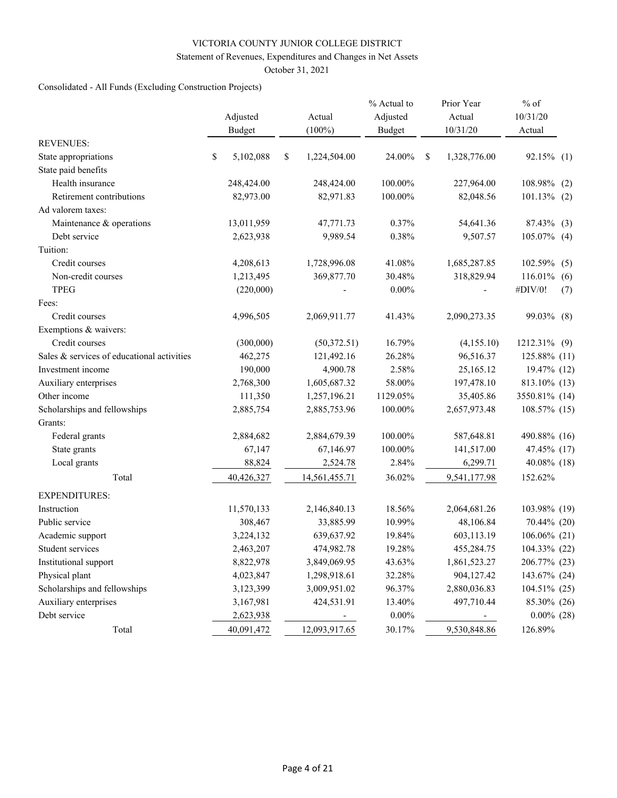# Statement of Revenues, Expenditures and Changes in Net Assets

October 31, 2021

# Consolidated - All Funds (Excluding Construction Projects)

|                                            | Adjusted<br><b>Budget</b> | Actual<br>$(100\%)$ | % Actual to<br>Adjusted<br><b>Budget</b> |   | Prior Year<br>Actual<br>10/31/20 | $%$ of<br>10/31/20<br>Actual |     |
|--------------------------------------------|---------------------------|---------------------|------------------------------------------|---|----------------------------------|------------------------------|-----|
| <b>REVENUES:</b>                           |                           |                     |                                          |   |                                  |                              |     |
| State appropriations                       | \$<br>5,102,088           | \$<br>1,224,504.00  | 24.00%                                   | S | 1,328,776.00                     | 92.15% (1)                   |     |
| State paid benefits                        |                           |                     |                                          |   |                                  |                              |     |
| Health insurance                           | 248,424.00                | 248,424.00          | 100.00%                                  |   | 227,964.00                       | 108.98%                      | (2) |
| Retirement contributions                   | 82,973.00                 | 82,971.83           | 100.00%                                  |   | 82,048.56                        | $101.13\%$ (2)               |     |
| Ad valorem taxes:                          |                           |                     |                                          |   |                                  |                              |     |
| Maintenance & operations                   | 13,011,959                | 47,771.73           | 0.37%                                    |   | 54,641.36                        | 87.43% (3)                   |     |
| Debt service                               | 2,623,938                 | 9,989.54            | 0.38%                                    |   | 9,507.57                         | 105.07% (4)                  |     |
| Tuition:                                   |                           |                     |                                          |   |                                  |                              |     |
| Credit courses                             | 4,208,613                 | 1,728,996.08        | 41.08%                                   |   | 1,685,287.85                     | 102.59%                      | (5) |
| Non-credit courses                         | 1,213,495                 | 369,877.70          | 30.48%                                   |   | 318,829.94                       | 116.01%                      | (6) |
| <b>TPEG</b>                                | (220,000)                 |                     | $0.00\%$                                 |   |                                  | #DIV/0!                      | (7) |
| Fees:                                      |                           |                     |                                          |   |                                  |                              |     |
| Credit courses                             | 4,996,505                 | 2,069,911.77        | 41.43%                                   |   | 2,090,273.35                     | 99.03%                       | (8) |
| Exemptions & waivers:                      |                           |                     |                                          |   |                                  |                              |     |
| Credit courses                             | (300,000)                 | (50,372.51)         | 16.79%                                   |   | (4,155.10)                       | 1212.31% (9)                 |     |
| Sales & services of educational activities | 462,275                   | 121,492.16          | 26.28%                                   |   | 96,516.37                        | 125.88% (11)                 |     |
| Investment income                          | 190,000                   | 4,900.78            | 2.58%                                    |   | 25,165.12                        | 19.47% (12)                  |     |
| Auxiliary enterprises                      | 2,768,300                 | 1,605,687.32        | 58.00%                                   |   | 197,478.10                       | 813.10% (13)                 |     |
| Other income                               | 111,350                   | 1,257,196.21        | 1129.05%                                 |   | 35,405.86                        | 3550.81% (14)                |     |
| Scholarships and fellowships               | 2,885,754                 | 2,885,753.96        | 100.00%                                  |   | 2,657,973.48                     | 108.57% (15)                 |     |
| Grants:                                    |                           |                     |                                          |   |                                  |                              |     |
| Federal grants                             | 2,884,682                 | 2,884,679.39        | 100.00%                                  |   | 587,648.81                       | 490.88% (16)                 |     |
| State grants                               | 67,147                    | 67,146.97           | 100.00%                                  |   | 141,517.00                       | 47.45% (17)                  |     |
| Local grants                               | 88,824                    | 2,524.78            | 2.84%                                    |   | 6,299.71                         | 40.08% (18)                  |     |
| Total                                      | 40,426,327                | 14,561,455.71       | 36.02%                                   |   | 9,541,177.98                     | 152.62%                      |     |
| <b>EXPENDITURES:</b>                       |                           |                     |                                          |   |                                  |                              |     |
| Instruction                                | 11,570,133                | 2,146,840.13        | 18.56%                                   |   | 2,064,681.26                     | 103.98% (19)                 |     |
| Public service                             | 308,467                   | 33,885.99           | 10.99%                                   |   | 48,106.84                        | 70.44% (20)                  |     |
| Academic support                           | 3,224,132                 | 639,637.92          | 19.84%                                   |   | 603,113.19                       | 106.06% (21)                 |     |
| Student services                           | 2,463,207                 | 474,982.78          | 19.28%                                   |   | 455,284.75                       | 104.33% (22)                 |     |
| Institutional support                      | 8,822,978                 | 3,849,069.95        | 43.63%                                   |   | 1,861,523.27                     | 206.77% (23)                 |     |
| Physical plant                             | 4,023,847                 | 1,298,918.61        | 32.28%                                   |   | 904,127.42                       | 143.67% (24)                 |     |
| Scholarships and fellowships               | 3,123,399                 | 3,009,951.02        | 96.37%                                   |   | 2,880,036.83                     | 104.51% (25)                 |     |
| Auxiliary enterprises                      | 3,167,981                 | 424,531.91          | 13.40%                                   |   | 497,710.44                       | 85.30% (26)                  |     |
| Debt service                               | 2,623,938                 |                     | $0.00\%$                                 |   | ۰.                               | $0.00\%$ (28)                |     |
| Total                                      | 40,091,472                | 12,093,917.65       | 30.17%                                   |   | 9,530,848.86                     | 126.89%                      |     |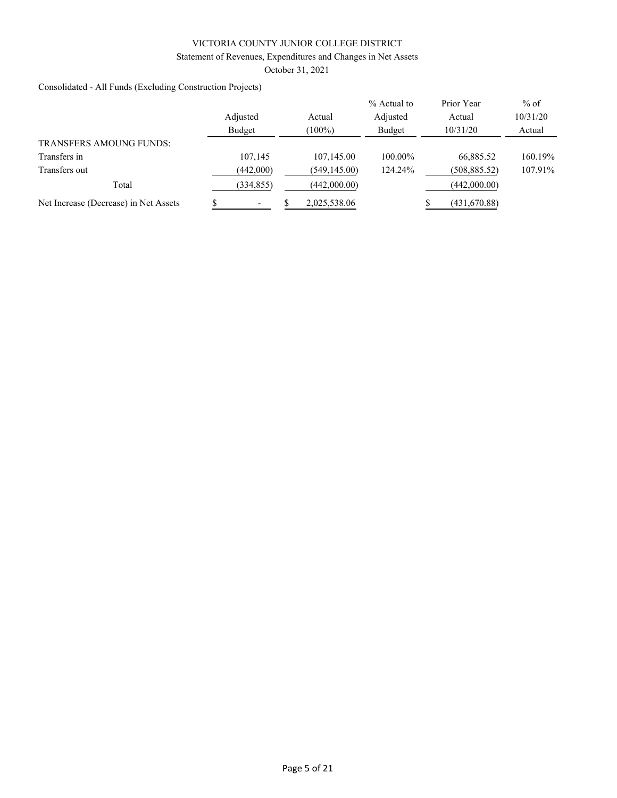# Statement of Revenues, Expenditures and Changes in Net Assets

October 31, 2021

Consolidated - All Funds (Excluding Construction Projects)

|                                       |            |               | % Actual to | Prior Year    | $%$ of   |
|---------------------------------------|------------|---------------|-------------|---------------|----------|
|                                       | Adjusted   | Actual        | Adjusted    | Actual        | 10/31/20 |
|                                       | Budget     | $(100\%)$     | Budget      | 10/31/20      | Actual   |
| <b>TRANSFERS AMOUNG FUNDS:</b>        |            |               |             |               |          |
| Transfers in                          | 107.145    | 107,145.00    | 100.00%     | 66,885.52     | 160.19%  |
| Transfers out                         | (442,000)  | (549, 145.00) | 124.24%     | (508, 885.52) | 107.91%  |
| Total                                 | (334, 855) | (442,000.00)  |             | (442,000.00)  |          |
| Net Increase (Decrease) in Net Assets |            | 2,025,538.06  |             | (431,670.88)  |          |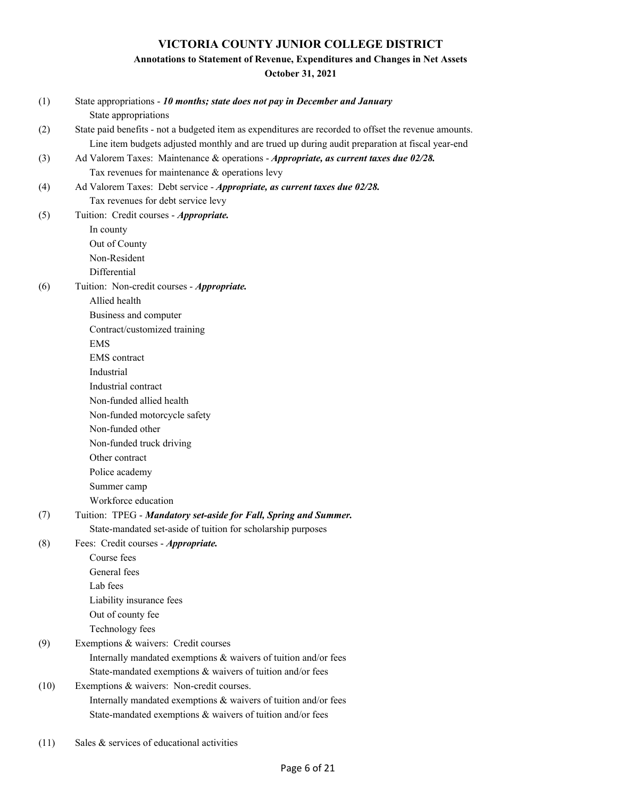# **Annotations to Statement of Revenue, Expenditures and Changes in Net Assets**

**October 31, 2021**

| (1)  | State appropriations - 10 months; state does not pay in December and January                          |
|------|-------------------------------------------------------------------------------------------------------|
|      | State appropriations                                                                                  |
| (2)  | State paid benefits - not a budgeted item as expenditures are recorded to offset the revenue amounts. |
|      | Line item budgets adjusted monthly and are trued up during audit preparation at fiscal year-end       |
| (3)  | Ad Valorem Taxes: Maintenance & operations - Appropriate, as current taxes due 02/28.                 |
|      | Tax revenues for maintenance $&$ operations levy                                                      |
| (4)  | Ad Valorem Taxes: Debt service - Appropriate, as current taxes due 02/28.                             |
|      | Tax revenues for debt service levy                                                                    |
| (5)  | Tuition: Credit courses - Appropriate.                                                                |
|      | In county                                                                                             |
|      | Out of County                                                                                         |
|      | Non-Resident                                                                                          |
|      | Differential                                                                                          |
| (6)  | Tuition: Non-credit courses - Appropriate.                                                            |
|      | Allied health                                                                                         |
|      | Business and computer                                                                                 |
|      | Contract/customized training                                                                          |
|      | <b>EMS</b>                                                                                            |
|      | <b>EMS</b> contract                                                                                   |
|      | Industrial                                                                                            |
|      | Industrial contract                                                                                   |
|      | Non-funded allied health                                                                              |
|      | Non-funded motorcycle safety                                                                          |
|      | Non-funded other                                                                                      |
|      | Non-funded truck driving                                                                              |
|      | Other contract                                                                                        |
|      | Police academy                                                                                        |
|      | Summer camp                                                                                           |
|      | Workforce education                                                                                   |
| (7)  | Tuition: TPEG - Mandatory set-aside for Fall, Spring and Summer.                                      |
|      | State-mandated set-aside of tuition for scholarship purposes                                          |
| (8)  | Fees: Credit courses - Appropriate.                                                                   |
|      | Course fees                                                                                           |
|      | General fees                                                                                          |
|      | Lab fees                                                                                              |
|      | Liability insurance fees                                                                              |
|      | Out of county fee                                                                                     |
|      | Technology fees                                                                                       |
| (9)  | Exemptions & waivers: Credit courses                                                                  |
|      | Internally mandated exemptions & waivers of tuition and/or fees                                       |
|      | State-mandated exemptions & waivers of tuition and/or fees                                            |
| (10) | Exemptions & waivers: Non-credit courses.                                                             |
|      | Internally mandated exemptions & waivers of tuition and/or fees                                       |
|      | State-mandated exemptions & waivers of tuition and/or fees                                            |
|      |                                                                                                       |

(11) Sales & services of educational activities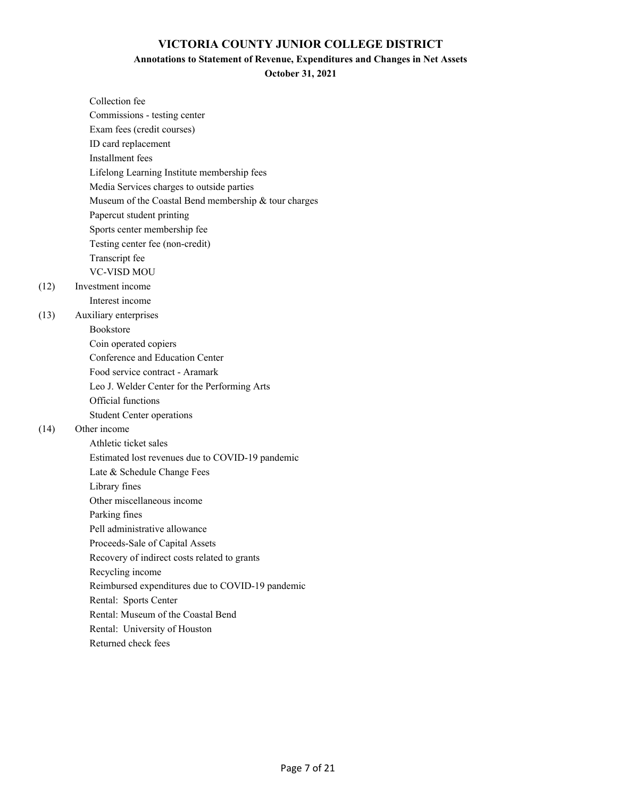### **Annotations to Statement of Revenue, Expenditures and Changes in Net Assets**

**October 31, 2021**

| Collection fee                                       |
|------------------------------------------------------|
| Commissions - testing center                         |
| Exam fees (credit courses)                           |
| ID card replacement                                  |
| Installment fees                                     |
| Lifelong Learning Institute membership fees          |
| Media Services charges to outside parties            |
| Museum of the Coastal Bend membership & tour charges |
| Papercut student printing                            |
| Sports center membership fee                         |
| Testing center fee (non-credit)                      |
| Transcript fee                                       |
| <b>VC-VISD MOU</b>                                   |
| Investment income                                    |
| Interest income                                      |
| Auxiliary enterprises                                |
| <b>Bookstore</b>                                     |
| Coin operated copiers                                |
| Conference and Education Center                      |
| Food service contract - Aramark                      |
| Leo J. Welder Center for the Performing Arts         |
| Official functions                                   |
| <b>Student Center operations</b>                     |
| Other income                                         |
| Athletic ticket sales                                |
| Estimated lost revenues due to COVID-19 pandemic     |
| Late & Schedule Change Fees                          |
| Library fines                                        |
| Other miscellaneous income                           |
| Parking fines                                        |
| Pell administrative allowance                        |
| Proceeds-Sale of Capital Assets                      |
| Recovery of indirect costs related to grants         |
| Recycling income                                     |
| Reimbursed expenditures due to COVID-19 pandemic     |
| Rental: Sports Center                                |
| Rental: Museum of the Coastal Bend                   |
| Rental: University of Houston                        |
| Returned check fees                                  |

 $(12)$ 

(13)

 $(14)$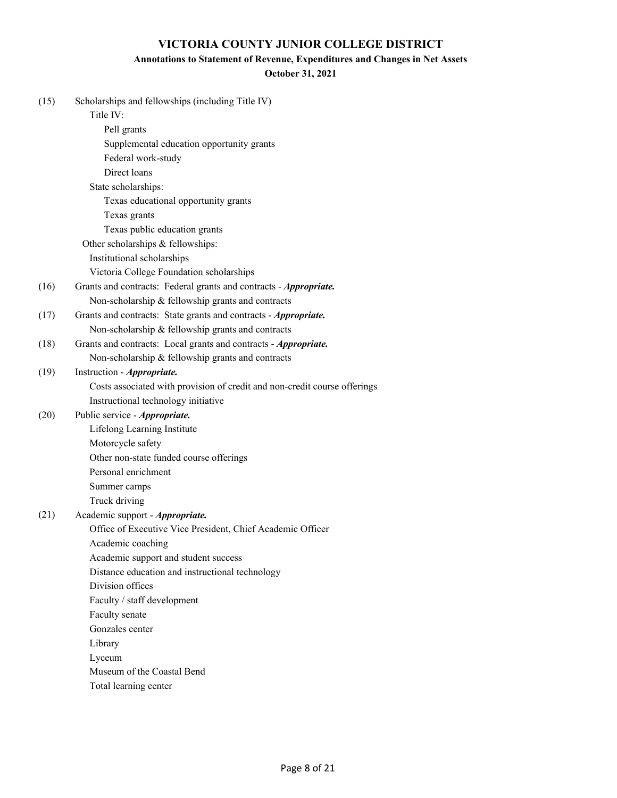### **Annotations to Statement of Revenue, Expenditures and Changes in Net Assets**

### **October 31, 2021**

| (15) | Scholarships and fellowships (including Title IV)                         |
|------|---------------------------------------------------------------------------|
|      | Title IV:                                                                 |
|      | Pell grants                                                               |
|      | Supplemental education opportunity grants                                 |
|      | Federal work-study                                                        |
|      | Direct loans                                                              |
|      | State scholarships:                                                       |
|      | Texas educational opportunity grants                                      |
|      | Texas grants                                                              |
|      | Texas public education grants                                             |
|      | Other scholarships & fellowships:                                         |
|      | Institutional scholarships                                                |
|      | Victoria College Foundation scholarships                                  |
| (16) | Grants and contracts: Federal grants and contracts - Appropriate.         |
|      | Non-scholarship & fellowship grants and contracts                         |
| (17) | Grants and contracts: State grants and contracts - Appropriate.           |
|      | Non-scholarship & fellowship grants and contracts                         |
| (18) | Grants and contracts: Local grants and contracts - Appropriate.           |
|      | Non-scholarship & fellowship grants and contracts                         |
| (19) | Instruction - Appropriate.                                                |
|      | Costs associated with provision of credit and non-credit course offerings |
|      | Instructional technology initiative                                       |
| (20) | Public service - Appropriate.                                             |
|      | Lifelong Learning Institute                                               |
|      | Motorcycle safety                                                         |
|      | Other non-state funded course offerings                                   |
|      | Personal enrichment                                                       |
|      | Summer camps                                                              |
|      | Truck driving                                                             |
| (21) | Academic support - Appropriate.                                           |
|      | Office of Executive Vice President, Chief Academic Officer                |
|      | Academic coaching                                                         |
|      | Academic support and student success                                      |
|      | Distance education and instructional technology                           |
|      | Division offices                                                          |
|      | Faculty / staff development                                               |
|      | Faculty senate                                                            |
|      | Gonzales center                                                           |
|      | Library                                                                   |
|      | Lyceum                                                                    |
|      | Museum of the Coastal Bend                                                |
|      | Total learning center                                                     |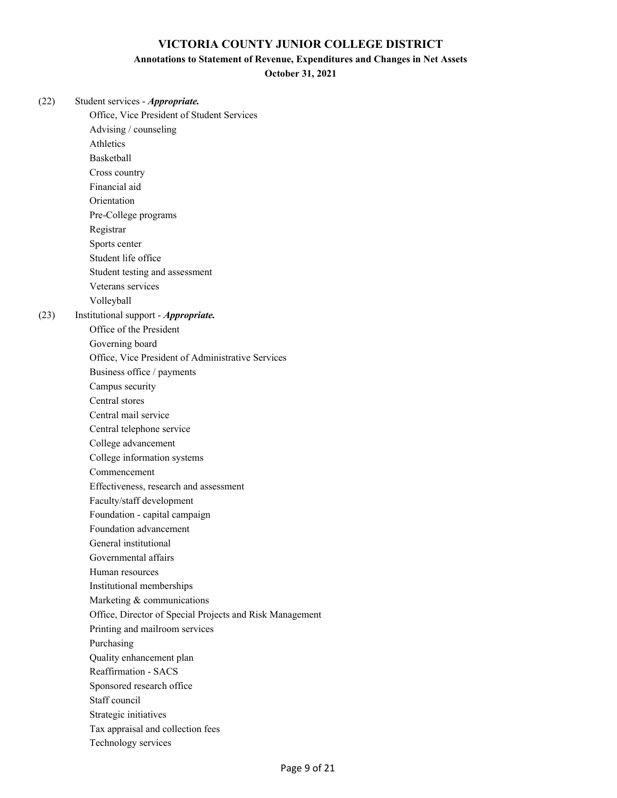### **Annotations to Statement of Revenue, Expenditures and Changes in Net Assets**

**October 31, 2021**

| (22) | Student services - Appropriate.                          |
|------|----------------------------------------------------------|
|      | Office, Vice President of Student Services               |
|      | Advising / counseling<br>Athletics                       |
|      |                                                          |
|      | Basketball                                               |
|      | Cross country                                            |
|      | Financial aid                                            |
|      | Orientation                                              |
|      | Pre-College programs                                     |
|      | Registrar                                                |
|      | Sports center                                            |
|      | Student life office                                      |
|      | Student testing and assessment                           |
|      | Veterans services                                        |
|      | Volleyball                                               |
| (23) | Institutional support - Appropriate.                     |
|      | Office of the President                                  |
|      | Governing board                                          |
|      | Office, Vice President of Administrative Services        |
|      | Business office / payments                               |
|      | Campus security                                          |
|      | Central stores                                           |
|      | Central mail service                                     |
|      | Central telephone service                                |
|      | College advancement                                      |
|      | College information systems                              |
|      | Commencement                                             |
|      | Effectiveness, research and assessment                   |
|      | Faculty/staff development                                |
|      | Foundation - capital campaign                            |
|      | Foundation advancement                                   |
|      | General institutional                                    |
|      | Governmental affairs                                     |
|      | Human resources                                          |
|      | Institutional memberships                                |
|      | Marketing & communications                               |
|      | Office, Director of Special Projects and Risk Management |
|      | Printing and mailroom services                           |
|      | Purchasing                                               |
|      | Quality enhancement plan                                 |
|      | <b>Reaffirmation - SACS</b>                              |
|      | Sponsored research office                                |
|      | Staff council                                            |
|      | Strategic initiatives                                    |
|      | Tax appraisal and collection fees                        |
|      | Technology services                                      |
|      |                                                          |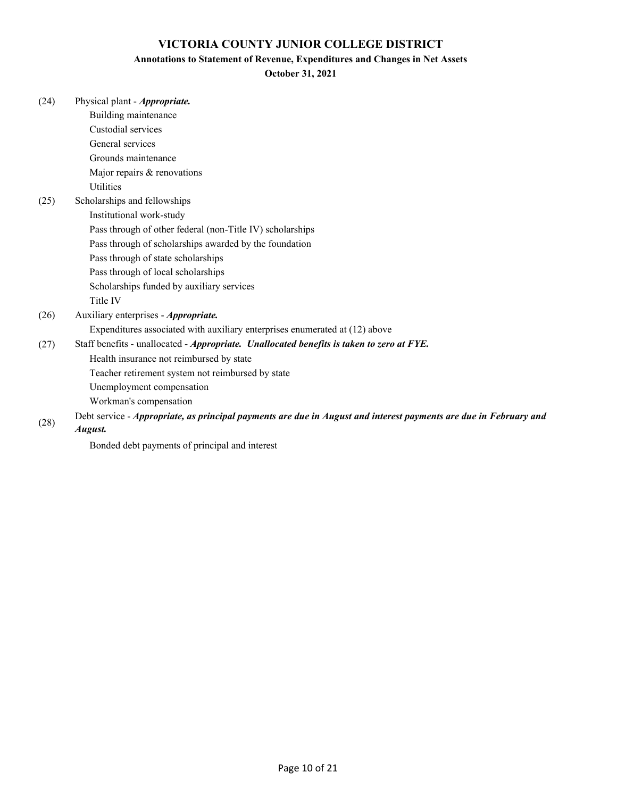#### **Annotations to Statement of Revenue, Expenditures and Changes in Net Assets**

### **October 31, 2021**

| (24) | Physical plant - <i>Appropriate</i> .                                                                             |
|------|-------------------------------------------------------------------------------------------------------------------|
|      | Building maintenance                                                                                              |
|      | Custodial services                                                                                                |
|      | General services                                                                                                  |
|      | Grounds maintenance                                                                                               |
|      | Major repairs & renovations                                                                                       |
|      | <b>Utilities</b>                                                                                                  |
| (25) | Scholarships and fellowships                                                                                      |
|      | Institutional work-study                                                                                          |
|      | Pass through of other federal (non-Title IV) scholarships                                                         |
|      | Pass through of scholarships awarded by the foundation                                                            |
|      | Pass through of state scholarships                                                                                |
|      | Pass through of local scholarships                                                                                |
|      | Scholarships funded by auxiliary services                                                                         |
|      | Title IV                                                                                                          |
| (26) | Auxiliary enterprises - Appropriate.                                                                              |
|      | Expenditures associated with auxiliary enterprises enumerated at (12) above                                       |
| (27) | Staff benefits - unallocated - Appropriate. Unallocated benefits is taken to zero at FYE.                         |
|      | Health insurance not reimbursed by state                                                                          |
|      | Teacher retirement system not reimbursed by state                                                                 |
|      | Unemployment compensation                                                                                         |
|      | Workman's compensation                                                                                            |
|      | Debt service - Appropriate, as principal payments are due in August and interest payments are due in February and |
| (28) |                                                                                                                   |

#### *August.*

Bonded debt payments of principal and interest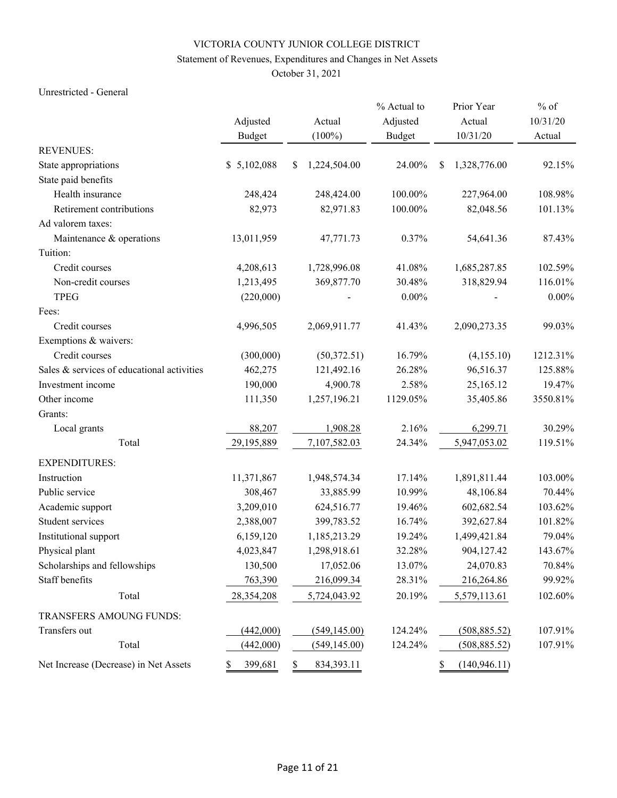# Statement of Revenues, Expenditures and Changes in Net Assets

October 31, 2021

### Unrestricted - General

|                                            |               |                    | % Actual to   | Prior Year          | $%$ of   |
|--------------------------------------------|---------------|--------------------|---------------|---------------------|----------|
|                                            | Adjusted      | Actual             | Adjusted      | Actual              | 10/31/20 |
|                                            | <b>Budget</b> | $(100\%)$          | <b>Budget</b> | 10/31/20            | Actual   |
| <b>REVENUES:</b>                           |               |                    |               |                     |          |
| State appropriations                       | \$5,102,088   | \$<br>1,224,504.00 | 24.00%        | \$<br>1,328,776.00  | 92.15%   |
| State paid benefits                        |               |                    |               |                     |          |
| Health insurance                           | 248,424       | 248,424.00         | 100.00%       | 227,964.00          | 108.98%  |
| Retirement contributions                   | 82,973        | 82,971.83          | 100.00%       | 82,048.56           | 101.13%  |
| Ad valorem taxes:                          |               |                    |               |                     |          |
| Maintenance & operations                   | 13,011,959    | 47,771.73          | 0.37%         | 54,641.36           | 87.43%   |
| Tuition:                                   |               |                    |               |                     |          |
| Credit courses                             | 4,208,613     | 1,728,996.08       | 41.08%        | 1,685,287.85        | 102.59%  |
| Non-credit courses                         | 1,213,495     | 369,877.70         | 30.48%        | 318,829.94          | 116.01%  |
| <b>TPEG</b>                                | (220,000)     |                    | $0.00\%$      |                     | $0.00\%$ |
| Fees:                                      |               |                    |               |                     |          |
| Credit courses                             | 4,996,505     | 2,069,911.77       | 41.43%        | 2,090,273.35        | 99.03%   |
| Exemptions & waivers:                      |               |                    |               |                     |          |
| Credit courses                             | (300,000)     | (50,372.51)        | 16.79%        | (4,155.10)          | 1212.31% |
| Sales & services of educational activities | 462,275       | 121,492.16         | 26.28%        | 96,516.37           | 125.88%  |
| Investment income                          | 190,000       | 4,900.78           | 2.58%         | 25,165.12           | 19.47%   |
| Other income                               | 111,350       | 1,257,196.21       | 1129.05%      | 35,405.86           | 3550.81% |
| Grants:                                    |               |                    |               |                     |          |
| Local grants                               | 88,207        | 1,908.28           | 2.16%         | 6,299.71            | 30.29%   |
| Total                                      | 29,195,889    | 7,107,582.03       | 24.34%        | 5,947,053.02        | 119.51%  |
| <b>EXPENDITURES:</b>                       |               |                    |               |                     |          |
| Instruction                                | 11,371,867    | 1,948,574.34       | 17.14%        | 1,891,811.44        | 103.00%  |
| Public service                             | 308,467       | 33,885.99          | 10.99%        | 48,106.84           | 70.44%   |
| Academic support                           | 3,209,010     | 624,516.77         | 19.46%        | 602,682.54          | 103.62%  |
| Student services                           | 2,388,007     | 399,783.52         | 16.74%        | 392,627.84          | 101.82%  |
| Institutional support                      | 6,159,120     | 1,185,213.29       | 19.24%        | 1,499,421.84        | 79.04%   |
| Physical plant                             | 4,023,847     | 1,298,918.61       | 32.28%        | 904,127.42          | 143.67%  |
| Scholarships and fellowships               | 130,500       | 17,052.06          | 13.07%        | 24,070.83           | 70.84%   |
| Staff benefits                             | 763,390       | 216,099.34         | 28.31%        | 216,264.86          | 99.92%   |
| Total                                      | 28,354,208    | 5,724,043.92       | 20.19%        | 5,579,113.61        | 102.60%  |
| TRANSFERS AMOUNG FUNDS:                    |               |                    |               |                     |          |
| Transfers out                              | (442,000)     | (549, 145.00)      | 124.24%       | (508, 885.52)       | 107.91%  |
| Total                                      | (442,000)     | (549, 145.00)      | 124.24%       | (508, 885.52)       | 107.91%  |
| Net Increase (Decrease) in Net Assets      | 399,681<br>S  | \$<br>834, 393. 11 |               | \$<br>(140, 946.11) |          |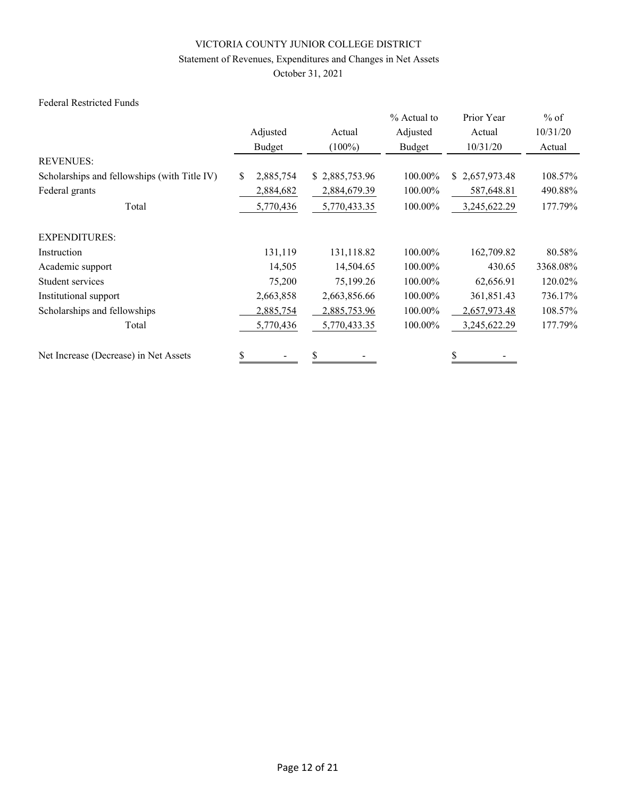# Statement of Revenues, Expenditures and Changes in Net Assets

October 31, 2021

# Federal Restricted Funds

|                                              |                |                | % Actual to | Prior Year     | $%$ of   |
|----------------------------------------------|----------------|----------------|-------------|----------------|----------|
|                                              | Adjusted       | Actual         | Adjusted    | Actual         | 10/31/20 |
|                                              | Budget         | $(100\%)$      | Budget      | 10/31/20       | Actual   |
| <b>REVENUES:</b>                             |                |                |             |                |          |
| Scholarships and fellowships (with Title IV) | S<br>2,885,754 | \$2,885,753.96 | 100.00%     | \$2,657,973.48 | 108.57%  |
| Federal grants                               | 2,884,682      | 2,884,679.39   | 100.00%     | 587,648.81     | 490.88%  |
| Total                                        | 5,770,436      | 5,770,433.35   | 100.00%     | 3,245,622.29   | 177.79%  |
| <b>EXPENDITURES:</b>                         |                |                |             |                |          |
| Instruction                                  | 131,119        | 131,118.82     | 100.00%     | 162,709.82     | 80.58%   |
| Academic support                             | 14,505         | 14,504.65      | 100.00%     | 430.65         | 3368.08% |
| Student services                             | 75,200         | 75,199.26      | 100.00%     | 62,656.91      | 120.02%  |
| Institutional support                        | 2,663,858      | 2,663,856.66   | 100.00%     | 361,851.43     | 736.17%  |
| Scholarships and fellowships                 | 2,885,754      | 2,885,753.96   | 100.00%     | 2,657,973.48   | 108.57%  |
| Total                                        | 5,770,436      | 5,770,433.35   | 100.00%     | 3,245,622.29   | 177.79%  |
| Net Increase (Decrease) in Net Assets        | \$             | \$             |             |                |          |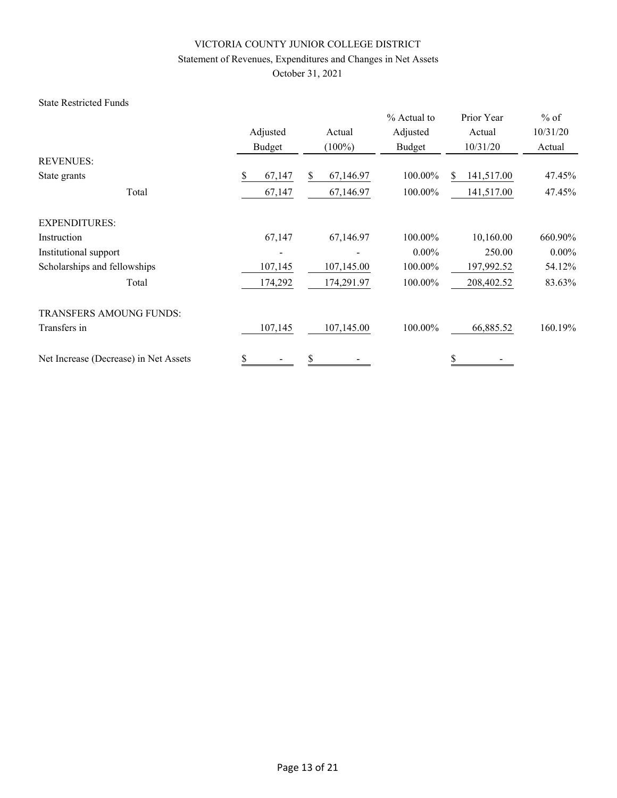# Statement of Revenues, Expenditures and Changes in Net Assets

October 31, 2021

### State Restricted Funds

|                                       |                                |            | % Actual to | Prior Year       | $%$ of   |
|---------------------------------------|--------------------------------|------------|-------------|------------------|----------|
|                                       | Adjusted                       | Actual     | Adjusted    | Actual           | 10/31/20 |
|                                       | Budget                         | $(100\%)$  | Budget      | 10/31/20         | Actual   |
| <b>REVENUES:</b>                      |                                |            |             |                  |          |
| State grants                          | \$<br>67,147                   | 67,146.97  | 100.00%     | 141,517.00<br>S. | 47.45%   |
| Total                                 | 67,147                         | 67,146.97  | 100.00%     | 141,517.00       | 47.45%   |
| <b>EXPENDITURES:</b>                  |                                |            |             |                  |          |
| Instruction                           | 67,147                         | 67,146.97  | 100.00%     | 10,160.00        | 660.90%  |
| Institutional support                 |                                |            | $0.00\%$    | 250.00           | $0.00\%$ |
| Scholarships and fellowships          | 107,145                        | 107,145.00 | 100.00%     | 197,992.52       | 54.12%   |
| Total                                 | 174,292                        | 174,291.97 | 100.00%     | 208,402.52       | 83.63%   |
| <b>TRANSFERS AMOUNG FUNDS:</b>        |                                |            |             |                  |          |
| Transfers in                          | 107,145                        | 107,145.00 | 100.00%     | 66,885.52        | 160.19%  |
| Net Increase (Decrease) in Net Assets | \$<br>$\overline{\phantom{a}}$ | \$         |             | \$               |          |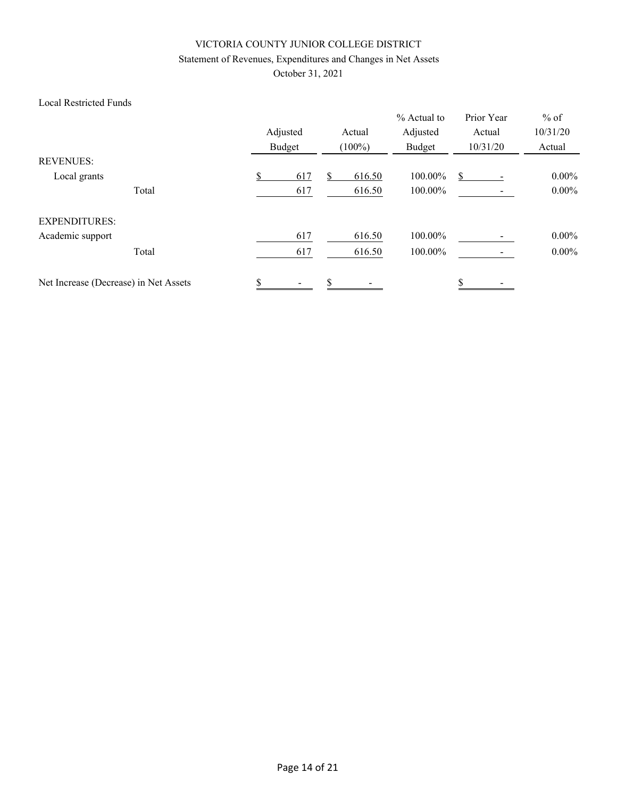# Statement of Revenues, Expenditures and Changes in Net Assets

October 31, 2021

# Local Restricted Funds

|                                       |       | Adjusted |    | Actual    | % Actual to<br>Adjusted | Prior Year<br>Actual | $%$ of<br>10/31/20 |
|---------------------------------------|-------|----------|----|-----------|-------------------------|----------------------|--------------------|
|                                       |       | Budget   |    | $(100\%)$ | Budget                  | 10/31/20             | Actual             |
| <b>REVENUES:</b>                      |       |          |    |           |                         |                      |                    |
| Local grants                          |       | 617      |    | 616.50    | 100.00%                 | S                    | $0.00\%$           |
|                                       | Total | 617      |    | 616.50    | 100.00%                 |                      | $0.00\%$           |
| <b>EXPENDITURES:</b>                  |       |          |    |           |                         |                      |                    |
| Academic support                      |       | 617      |    | 616.50    | 100.00%                 |                      | $0.00\%$           |
|                                       | Total | 617      |    | 616.50    | 100.00%                 |                      | $0.00\%$           |
| Net Increase (Decrease) in Net Assets |       | \$       | \$ |           |                         | \$                   |                    |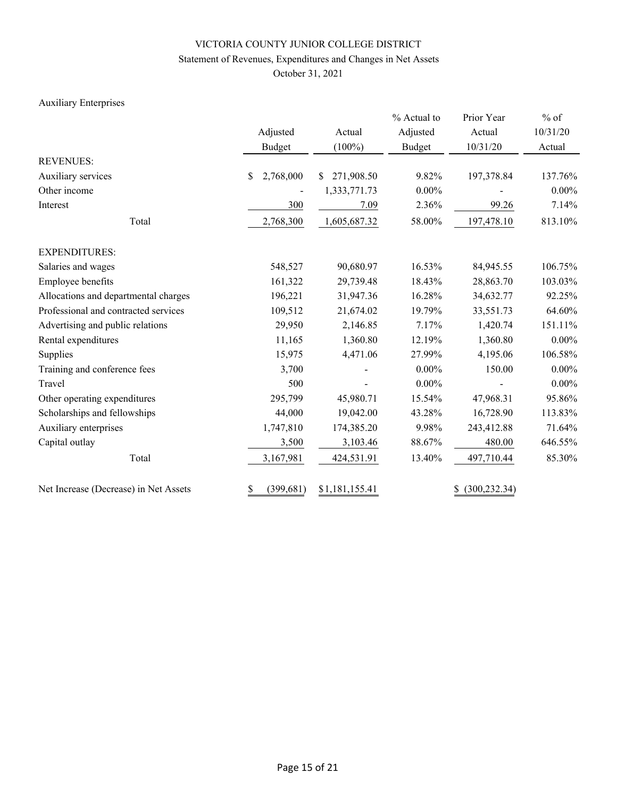# Statement of Revenues, Expenditures and Changes in Net Assets

October 31, 2021

# Auxiliary Enterprises

|                                       |                  |                  | % Actual to | Prior Year          | $%$ of   |
|---------------------------------------|------------------|------------------|-------------|---------------------|----------|
|                                       | Adjusted         | Actual           | Adjusted    | Actual              | 10/31/20 |
|                                       | <b>Budget</b>    | $(100\%)$        | Budget      | 10/31/20            | Actual   |
| <b>REVENUES:</b>                      |                  |                  |             |                     |          |
| Auxiliary services                    | 2,768,000<br>\$  | 271,908.50<br>S. | 9.82%       | 197,378.84          | 137.76%  |
| Other income                          |                  | 1,333,771.73     | $0.00\%$    |                     | $0.00\%$ |
| Interest                              | 300              | 7.09             | 2.36%       | 99.26               | 7.14%    |
| Total                                 | 2,768,300        | 1,605,687.32     | 58.00%      | 197,478.10          | 813.10%  |
| <b>EXPENDITURES:</b>                  |                  |                  |             |                     |          |
| Salaries and wages                    | 548,527          | 90,680.97        | 16.53%      | 84,945.55           | 106.75%  |
| Employee benefits                     | 161,322          | 29,739.48        | 18.43%      | 28,863.70           | 103.03%  |
| Allocations and departmental charges  | 196,221          | 31,947.36        | 16.28%      | 34,632.77           | 92.25%   |
| Professional and contracted services  | 109,512          | 21,674.02        | 19.79%      | 33,551.73           | 64.60%   |
| Advertising and public relations      | 29,950           | 2,146.85         | 7.17%       | 1,420.74            | 151.11%  |
| Rental expenditures                   | 11,165           | 1,360.80         | 12.19%      | 1,360.80            | $0.00\%$ |
| Supplies                              | 15,975           | 4,471.06         | 27.99%      | 4,195.06            | 106.58%  |
| Training and conference fees          | 3,700            |                  | $0.00\%$    | 150.00              | $0.00\%$ |
| Travel                                | 500              |                  | $0.00\%$    |                     | $0.00\%$ |
| Other operating expenditures          | 295,799          | 45,980.71        | 15.54%      | 47,968.31           | 95.86%   |
| Scholarships and fellowships          | 44,000           | 19,042.00        | 43.28%      | 16,728.90           | 113.83%  |
| Auxiliary enterprises                 | 1,747,810        | 174,385.20       | 9.98%       | 243,412.88          | 71.64%   |
| Capital outlay                        | 3,500            | 3,103.46         | 88.67%      | 480.00              | 646.55%  |
| Total                                 | 3,167,981        | 424,531.91       | 13.40%      | 497,710.44          | 85.30%   |
| Net Increase (Decrease) in Net Assets | \$<br>(399, 681) | \$1,181,155.41   |             | (300, 232.34)<br>\$ |          |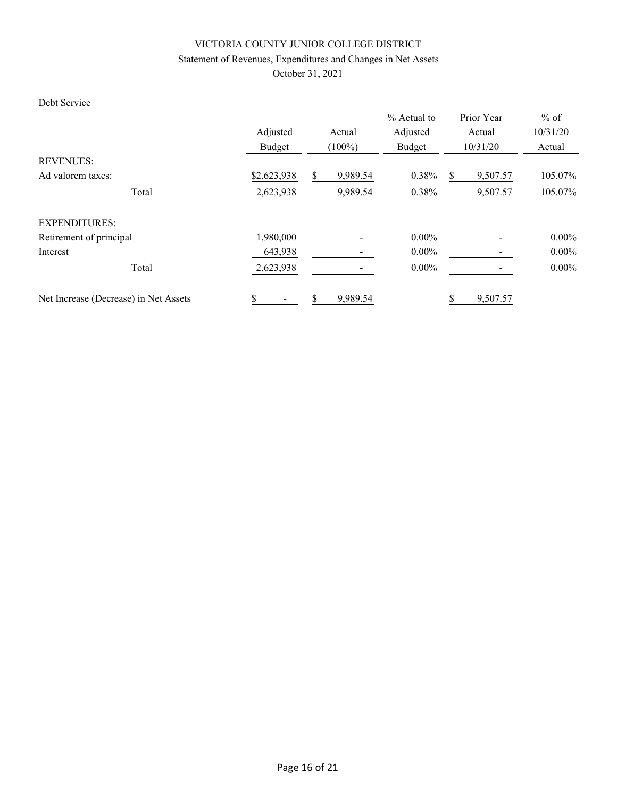# Statement of Revenues, Expenditures and Changes in Net Assets

October 31, 2021

# Debt Service

|                                       | Adjusted    | Actual<br>Budget<br>$(100\%)$ |          | Prior Year<br>Actual<br>10/31/20 | $%$ of<br>10/31/20<br>Actual |  |
|---------------------------------------|-------------|-------------------------------|----------|----------------------------------|------------------------------|--|
| <b>REVENUES:</b>                      |             |                               | Budget   |                                  |                              |  |
| Ad valorem taxes:                     | \$2,623,938 | 9,989.54<br>\$                | 0.38%    | 9,507.57<br>S                    | 105.07%                      |  |
| Total                                 | 2,623,938   | 9,989.54                      | 0.38%    | 9,507.57                         | 105.07%                      |  |
| <b>EXPENDITURES:</b>                  |             |                               |          |                                  |                              |  |
| Retirement of principal               | 1,980,000   |                               | $0.00\%$ |                                  | $0.00\%$                     |  |
| Interest                              | 643,938     |                               | $0.00\%$ |                                  | $0.00\%$                     |  |
| Total                                 | 2,623,938   |                               | $0.00\%$ |                                  | $0.00\%$                     |  |
| Net Increase (Decrease) in Net Assets | \$          | \$<br>9,989.54                |          | 9,507.57                         |                              |  |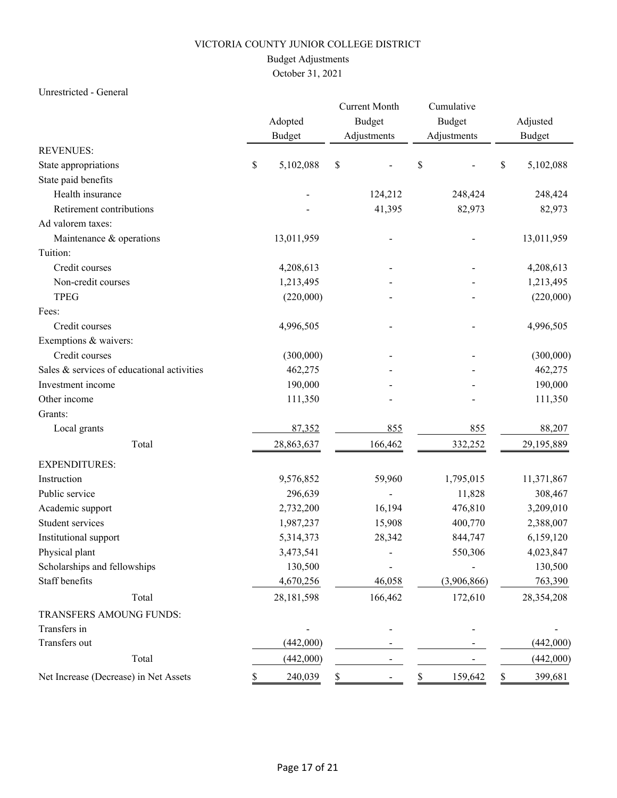# Budget Adjustments

October 31, 2021

### Unrestricted - General

|                                            |    | Adopted<br><b>Budget</b> |    | <b>Current Month</b><br><b>Budget</b><br>Adjustments |    | Cumulative<br>Budget<br>Adjustments | Adjusted<br><b>Budget</b> |
|--------------------------------------------|----|--------------------------|----|------------------------------------------------------|----|-------------------------------------|---------------------------|
| <b>REVENUES:</b>                           |    |                          |    |                                                      |    |                                     |                           |
| State appropriations                       | \$ | 5,102,088                | \$ |                                                      | \$ |                                     | \$<br>5,102,088           |
| State paid benefits                        |    |                          |    |                                                      |    |                                     |                           |
| Health insurance                           |    |                          |    | 124,212                                              |    | 248,424                             | 248,424                   |
| Retirement contributions                   |    |                          |    | 41,395                                               |    | 82,973                              | 82,973                    |
| Ad valorem taxes:                          |    |                          |    |                                                      |    |                                     |                           |
| Maintenance & operations                   |    | 13,011,959               |    |                                                      |    |                                     | 13,011,959                |
| Tuition:                                   |    |                          |    |                                                      |    |                                     |                           |
| Credit courses                             |    | 4,208,613                |    |                                                      |    |                                     | 4,208,613                 |
| Non-credit courses                         |    | 1,213,495                |    |                                                      |    |                                     | 1,213,495                 |
| <b>TPEG</b>                                |    | (220,000)                |    |                                                      |    |                                     | (220,000)                 |
| Fees:                                      |    |                          |    |                                                      |    |                                     |                           |
| Credit courses                             |    | 4,996,505                |    |                                                      |    |                                     | 4,996,505                 |
| Exemptions & waivers:                      |    |                          |    |                                                      |    |                                     |                           |
| Credit courses                             |    | (300,000)                |    |                                                      |    |                                     | (300,000)                 |
| Sales & services of educational activities |    | 462,275                  |    |                                                      |    |                                     | 462,275                   |
| Investment income                          |    | 190,000                  |    |                                                      |    |                                     | 190,000                   |
| Other income                               |    | 111,350                  |    |                                                      |    |                                     | 111,350                   |
| Grants:                                    |    |                          |    |                                                      |    |                                     |                           |
| Local grants                               |    | 87,352                   |    | 855                                                  |    | 855                                 | 88,207                    |
| Total                                      |    | 28,863,637               |    | 166,462                                              |    | 332,252                             | 29,195,889                |
| <b>EXPENDITURES:</b>                       |    |                          |    |                                                      |    |                                     |                           |
| Instruction                                |    | 9,576,852                |    | 59,960                                               |    | 1,795,015                           | 11,371,867                |
| Public service                             |    | 296,639                  |    |                                                      |    | 11,828                              | 308,467                   |
| Academic support                           |    | 2,732,200                |    | 16,194                                               |    | 476,810                             | 3,209,010                 |
| Student services                           |    | 1,987,237                |    | 15,908                                               |    | 400,770                             | 2,388,007                 |
| Institutional support                      |    | 5,314,373                |    | 28,342                                               |    | 844,747                             | 6,159,120                 |
| Physical plant                             |    | 3,473,541                |    |                                                      |    | 550,306                             | 4,023,847                 |
| Scholarships and fellowships               |    | 130,500                  |    |                                                      |    |                                     | 130,500                   |
| Staff benefits                             |    | 4,670,256                |    | 46,058                                               |    | (3,906,866)                         | 763,390                   |
| Total                                      |    | 28,181,598               |    | 166,462                                              |    | 172,610                             | 28,354,208                |
| TRANSFERS AMOUNG FUNDS:                    |    |                          |    |                                                      |    |                                     |                           |
| Transfers in                               |    |                          |    |                                                      |    |                                     |                           |
| Transfers out                              |    | (442,000)                |    |                                                      |    |                                     | (442,000)                 |
| Total                                      |    | (442,000)                |    |                                                      |    |                                     | (442,000)                 |
| Net Increase (Decrease) in Net Assets      |    | 240,039                  | \$ |                                                      |    | 159,642                             | 399,681                   |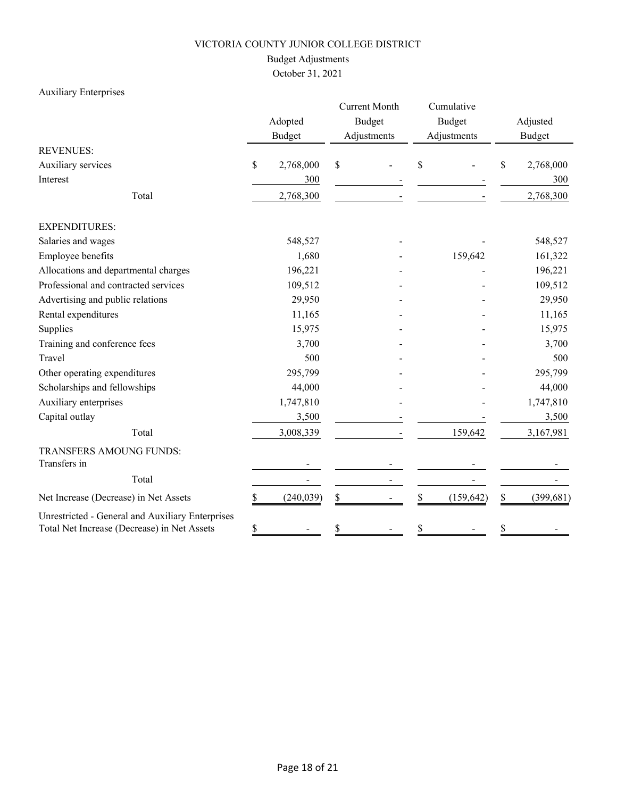# Budget Adjustments

October 31, 2021

# Auxiliary Enterprises

|                                                                                                 |    | Adopted<br><b>Budget</b> |    | <b>Current Month</b><br><b>Budget</b><br>Adjustments |    | Cumulative<br><b>Budget</b><br>Adjustments |    | Adjusted<br>Budget |
|-------------------------------------------------------------------------------------------------|----|--------------------------|----|------------------------------------------------------|----|--------------------------------------------|----|--------------------|
| <b>REVENUES:</b>                                                                                |    |                          |    |                                                      |    |                                            |    |                    |
| Auxiliary services                                                                              | \$ | 2,768,000                | \$ |                                                      | \$ |                                            | \$ | 2,768,000          |
| Interest                                                                                        |    | 300                      |    |                                                      |    |                                            |    | 300                |
| Total                                                                                           |    | 2,768,300                |    |                                                      |    |                                            |    | 2,768,300          |
| <b>EXPENDITURES:</b>                                                                            |    |                          |    |                                                      |    |                                            |    |                    |
| Salaries and wages                                                                              |    | 548,527                  |    |                                                      |    |                                            |    | 548,527            |
| Employee benefits                                                                               |    | 1,680                    |    |                                                      |    | 159,642                                    |    | 161,322            |
| Allocations and departmental charges                                                            |    | 196,221                  |    |                                                      |    |                                            |    | 196,221            |
| Professional and contracted services                                                            |    | 109,512                  |    |                                                      |    |                                            |    | 109,512            |
| Advertising and public relations                                                                |    | 29,950                   |    |                                                      |    |                                            |    | 29,950             |
| Rental expenditures                                                                             |    | 11,165                   |    |                                                      |    |                                            |    | 11,165             |
| Supplies                                                                                        |    | 15,975                   |    |                                                      |    |                                            |    | 15,975             |
| Training and conference fees                                                                    |    | 3,700                    |    |                                                      |    |                                            |    | 3,700              |
| Travel                                                                                          |    | 500                      |    |                                                      |    |                                            |    | 500                |
| Other operating expenditures                                                                    |    | 295,799                  |    |                                                      |    |                                            |    | 295,799            |
| Scholarships and fellowships                                                                    |    | 44,000                   |    |                                                      |    |                                            |    | 44,000             |
| Auxiliary enterprises                                                                           |    | 1,747,810                |    |                                                      |    |                                            |    | 1,747,810          |
| Capital outlay                                                                                  |    | 3,500                    |    |                                                      |    |                                            |    | 3,500              |
| Total                                                                                           |    | 3,008,339                |    |                                                      |    | 159,642                                    |    | 3,167,981          |
| TRANSFERS AMOUNG FUNDS:                                                                         |    |                          |    |                                                      |    |                                            |    |                    |
| Transfers in                                                                                    |    |                          |    |                                                      |    |                                            |    |                    |
| Total                                                                                           |    |                          |    |                                                      |    |                                            |    |                    |
| Net Increase (Decrease) in Net Assets                                                           | \$ | (240, 039)               | \$ |                                                      | \$ | (159, 642)                                 | \$ | (399, 681)         |
| Unrestricted - General and Auxiliary Enterprises<br>Total Net Increase (Decrease) in Net Assets | \$ |                          | \$ |                                                      | \$ |                                            | \$ |                    |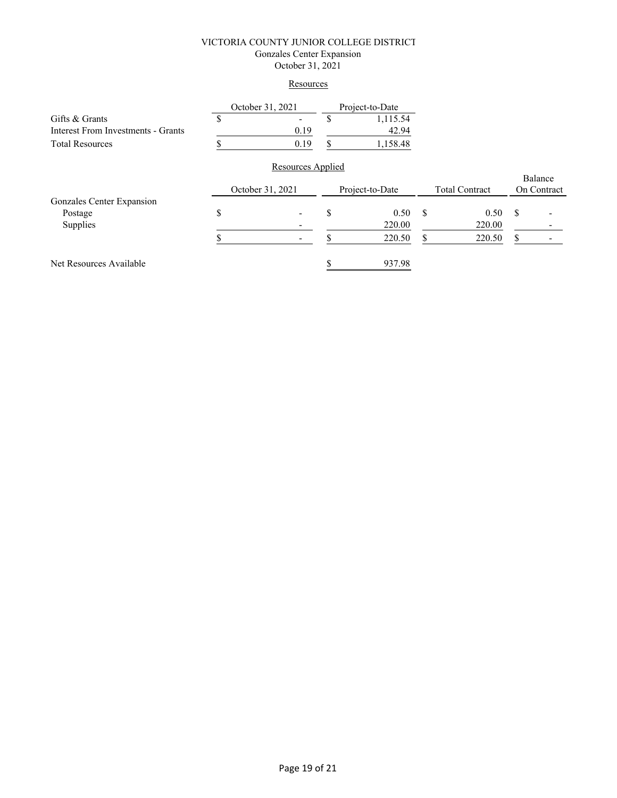### VICTORIA COUNTY JUNIOR COLLEGE DISTRICT Gonzales Center Expansion October 31, 2021

# **Resources**

|                                           | October 31, 2021  | Project-to-Date |    |                       |               |             |
|-------------------------------------------|-------------------|-----------------|----|-----------------------|---------------|-------------|
| Gifts & Grants                            |                   | 1,115.54        |    |                       |               |             |
| <b>Interest From Investments - Grants</b> | 0.19              | 42.94           |    |                       |               |             |
| <b>Total Resources</b>                    | 0.19              | 1,158.48        |    |                       |               |             |
|                                           | Resources Applied |                 |    |                       |               |             |
|                                           |                   |                 |    |                       | Balance       |             |
|                                           | October 31, 2021  | Project-to-Date |    | <b>Total Contract</b> |               | On Contract |
| Gonzales Center Expansion                 |                   |                 |    |                       |               |             |
| Postage                                   | \$                | \$<br>0.50      | \$ | 0.50                  | <sup>\$</sup> |             |
| Supplies                                  |                   | 220.00          |    | 220.00                |               |             |
|                                           |                   | 220.50          | S  | 220.50                | S             |             |
| Net Resources Available                   |                   | 937.98          |    |                       |               |             |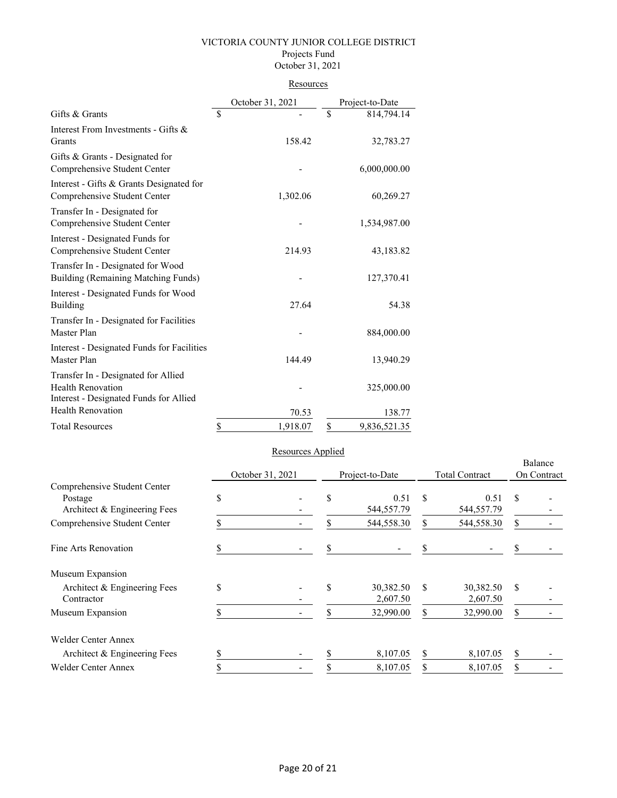#### VICTORIA COUNTY JUNIOR COLLEGE DISTRICT Projects Fund October 31, 2021

### **Resources**

|                                                                                                           | October 31, 2021 | Project-to-Date |              |
|-----------------------------------------------------------------------------------------------------------|------------------|-----------------|--------------|
| Gifts & Grants                                                                                            | \$               | \$              | 814,794.14   |
| Interest From Investments - Gifts &<br>Grants                                                             | 158.42           |                 | 32,783.27    |
| Gifts & Grants - Designated for<br>Comprehensive Student Center                                           |                  |                 | 6,000,000.00 |
| Interest - Gifts & Grants Designated for<br>Comprehensive Student Center                                  | 1,302.06         |                 | 60,269.27    |
| Transfer In - Designated for<br>Comprehensive Student Center                                              |                  |                 | 1,534,987.00 |
| Interest - Designated Funds for<br>Comprehensive Student Center                                           | 214.93           |                 | 43,183.82    |
| Transfer In - Designated for Wood<br>Building (Remaining Matching Funds)                                  |                  |                 | 127,370.41   |
| Interest - Designated Funds for Wood<br>Building                                                          | 27.64            |                 | 54.38        |
| Transfer In - Designated for Facilities<br>Master Plan                                                    |                  |                 | 884,000.00   |
| Interest - Designated Funds for Facilities<br>Master Plan                                                 | 144.49           |                 | 13,940.29    |
| Transfer In - Designated for Allied<br><b>Health Renovation</b><br>Interest - Designated Funds for Allied |                  |                 | 325,000.00   |
| <b>Health Renovation</b>                                                                                  | 70.53            |                 | 138.77       |
| <b>Total Resources</b>                                                                                    | \$<br>1,918.07   | \$              | 9,836,521.35 |

# Resources Applied

|                                            |    |                  |    |                       |    | Balance               |             |  |
|--------------------------------------------|----|------------------|----|-----------------------|----|-----------------------|-------------|--|
|                                            |    | October 31, 2021 |    | Project-to-Date       |    | <b>Total Contract</b> | On Contract |  |
| Comprehensive Student Center               | \$ |                  | \$ | 0.51                  | \$ | 0.51                  | S           |  |
| Postage<br>Architect & Engineering Fees    |    |                  |    | 544,557.79            |    | 544,557.79            |             |  |
| Comprehensive Student Center               |    |                  | \$ | 544,558.30            | \$ | 544,558.30            | \$          |  |
| Fine Arts Renovation                       | J) |                  |    |                       |    |                       |             |  |
| Museum Expansion                           |    |                  |    |                       |    |                       |             |  |
| Architect & Engineering Fees<br>Contractor | \$ |                  | \$ | 30,382.50<br>2,607.50 | \$ | 30,382.50<br>2,607.50 | S           |  |
| Museum Expansion                           |    |                  |    | 32,990.00             | \$ | 32,990.00             | S.          |  |
| <b>Welder Center Annex</b>                 |    |                  |    |                       |    |                       |             |  |
| Architect & Engineering Fees               | ς  |                  |    | 8,107.05              | \$ | 8,107.05              | \$          |  |
| Welder Center Annex                        | D  |                  |    | 8,107.05              | \$ | 8,107.05              | \$          |  |